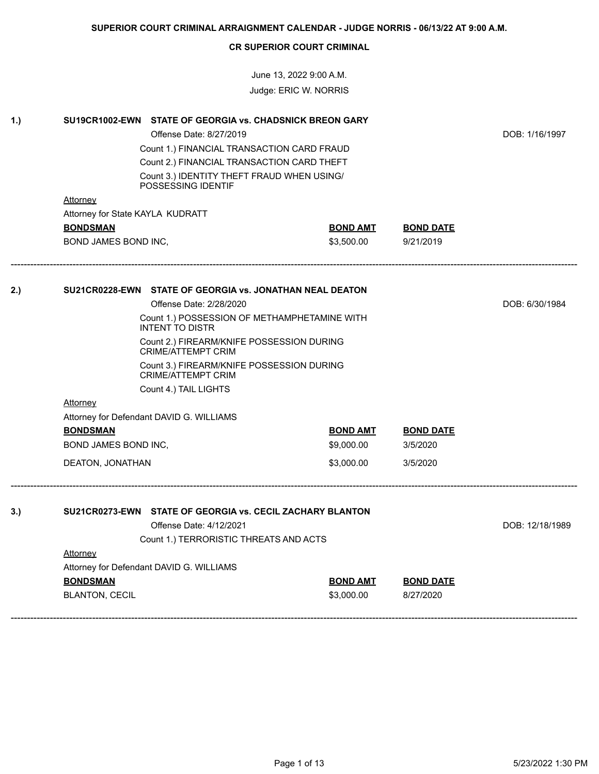|     | Offense Date: 8/27/2019                                                | DOB: 1/16/1997  |                  |                 |
|-----|------------------------------------------------------------------------|-----------------|------------------|-----------------|
|     | Count 1.) FINANCIAL TRANSACTION CARD FRAUD                             |                 |                  |                 |
|     | Count 2.) FINANCIAL TRANSACTION CARD THEFT                             |                 |                  |                 |
|     | Count 3.) IDENTITY THEFT FRAUD WHEN USING/<br>POSSESSING IDENTIF       |                 |                  |                 |
|     | Attorney                                                               |                 |                  |                 |
|     | Attorney for State KAYLA KUDRATT                                       |                 |                  |                 |
|     | <b>BONDSMAN</b>                                                        | <b>BOND AMT</b> | <b>BOND DATE</b> |                 |
|     | BOND JAMES BOND INC,                                                   | \$3,500.00      | 9/21/2019        |                 |
| 2.) | SU21CR0228-EWN STATE OF GEORGIA vs. JONATHAN NEAL DEATON               |                 |                  |                 |
|     | Offense Date: 2/28/2020                                                |                 |                  | DOB: 6/30/1984  |
|     | Count 1.) POSSESSION OF METHAMPHETAMINE WITH<br><b>INTENT TO DISTR</b> |                 |                  |                 |
|     | Count 2.) FIREARM/KNIFE POSSESSION DURING<br><b>CRIME/ATTEMPT CRIM</b> |                 |                  |                 |
|     | Count 3.) FIREARM/KNIFE POSSESSION DURING<br><b>CRIME/ATTEMPT CRIM</b> |                 |                  |                 |
|     | Count 4.) TAIL LIGHTS                                                  |                 |                  |                 |
|     | Attorney                                                               |                 |                  |                 |
|     | Attorney for Defendant DAVID G. WILLIAMS                               |                 |                  |                 |
|     | <b>BONDSMAN</b>                                                        | <b>BOND AMT</b> | <b>BOND DATE</b> |                 |
|     | BOND JAMES BOND INC,                                                   | \$9,000.00      | 3/5/2020         |                 |
|     | DEATON, JONATHAN                                                       | \$3,000.00      | 3/5/2020         |                 |
| 3.) | SU21CR0273-EWN STATE OF GEORGIA vs. CECIL ZACHARY BLANTON              |                 |                  |                 |
|     | Offense Date: 4/12/2021                                                |                 |                  | DOB: 12/18/1989 |
|     | Count 1.) TERRORISTIC THREATS AND ACTS                                 |                 |                  |                 |
|     | <b>Attorney</b>                                                        |                 |                  |                 |
|     | Attorney for Defendant DAVID G. WILLIAMS                               |                 |                  |                 |
|     | <b>BONDSMAN</b>                                                        | <b>BOND AMT</b> | <b>BOND DATE</b> |                 |
|     | <b>BLANTON, CECIL</b>                                                  | \$3,000.00      | 8/27/2020        |                 |
|     |                                                                        |                 |                  |                 |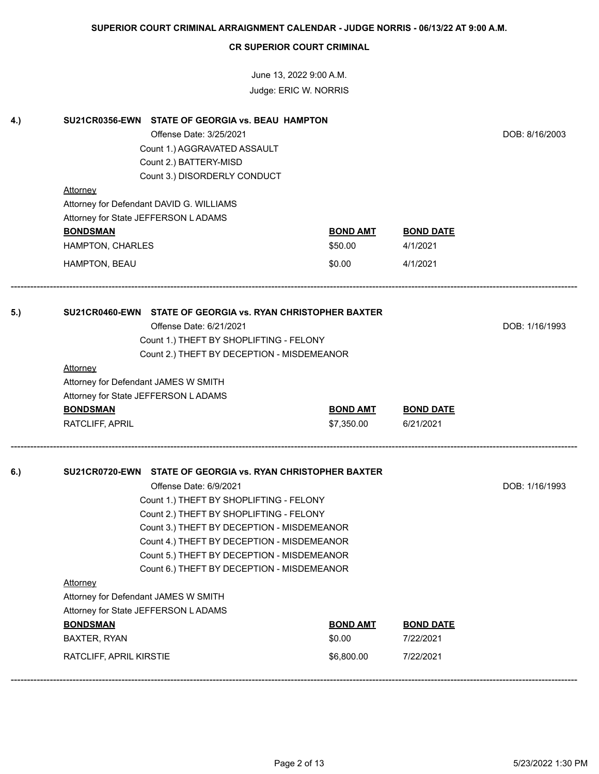June 13, 2022 9:00 A.M. Judge: ERIC W. NORRIS

| 4.) | SU21CR0356-EWN STATE OF GEORGIA vs. BEAU HAMPTON                                      |                 |                  |                |
|-----|---------------------------------------------------------------------------------------|-----------------|------------------|----------------|
|     | Offense Date: 3/25/2021                                                               |                 |                  | DOB: 8/16/2003 |
|     | Count 1.) AGGRAVATED ASSAULT                                                          |                 |                  |                |
|     | Count 2.) BATTERY-MISD                                                                |                 |                  |                |
|     | Count 3.) DISORDERLY CONDUCT                                                          |                 |                  |                |
|     | Attorney                                                                              |                 |                  |                |
|     | Attorney for Defendant DAVID G. WILLIAMS                                              |                 |                  |                |
|     | Attorney for State JEFFERSON LADAMS                                                   |                 |                  |                |
|     | <b>BONDSMAN</b>                                                                       | <b>BOND AMT</b> | <b>BOND DATE</b> |                |
|     | HAMPTON, CHARLES                                                                      | \$50.00         | 4/1/2021         |                |
|     | HAMPTON, BEAU                                                                         | \$0.00          | 4/1/2021         |                |
| 5.) | SU21CR0460-EWN STATE OF GEORGIA vs. RYAN CHRISTOPHER BAXTER                           |                 |                  |                |
|     | Offense Date: 6/21/2021                                                               |                 |                  | DOB: 1/16/1993 |
|     | Count 1.) THEFT BY SHOPLIFTING - FELONY                                               |                 |                  |                |
|     | Count 2.) THEFT BY DECEPTION - MISDEMEANOR                                            |                 |                  |                |
|     | <b>Attorney</b>                                                                       |                 |                  |                |
|     | Attorney for Defendant JAMES W SMITH                                                  |                 |                  |                |
|     | Attorney for State JEFFERSON LADAMS                                                   |                 |                  |                |
|     | <b>BONDSMAN</b>                                                                       | <b>BOND AMT</b> | <b>BOND DATE</b> |                |
|     | RATCLIFF, APRIL                                                                       | \$7,350.00      | 6/21/2021        |                |
| 6.) | SU21CR0720-EWN STATE OF GEORGIA vs. RYAN CHRISTOPHER BAXTER<br>Offense Date: 6/9/2021 |                 |                  | DOB: 1/16/1993 |
|     | Count 1.) THEFT BY SHOPLIFTING - FELONY                                               |                 |                  |                |
|     | Count 2.) THEFT BY SHOPLIFTING - FELONY                                               |                 |                  |                |
|     | Count 3.) THEFT BY DECEPTION - MISDEMEANOR                                            |                 |                  |                |
|     | Count 4.) THEFT BY DECEPTION - MISDEMEANOR                                            |                 |                  |                |
|     | Count 5.) THEFT BY DECEPTION - MISDEMEANOR                                            |                 |                  |                |
|     | Count 6.) THEFT BY DECEPTION - MISDEMEANOR                                            |                 |                  |                |
|     | <b>Attorney</b>                                                                       |                 |                  |                |
|     | Attorney for Defendant JAMES W SMITH                                                  |                 |                  |                |
|     | Attorney for State JEFFERSON LADAMS                                                   |                 |                  |                |
|     | <b>BONDSMAN</b>                                                                       | <b>BOND AMT</b> | <b>BOND DATE</b> |                |
|     | BAXTER, RYAN                                                                          | \$0.00          | 7/22/2021        |                |
|     | RATCLIFF, APRIL KIRSTIE                                                               | \$6,800.00      | 7/22/2021        |                |
|     |                                                                                       |                 |                  |                |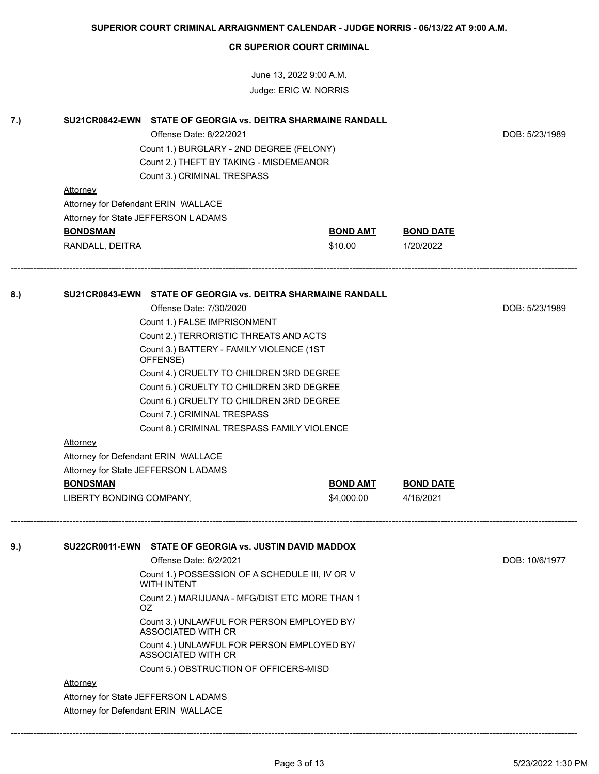June 13, 2022 9:00 A.M. Judge: ERIC W. NORRIS

| 7.) | SU21CR0842-EWN STATE OF GEORGIA vs. DEITRA SHARMAINE RANDALL<br>Offense Date: 8/22/2021<br>Count 1.) BURGLARY - 2ND DEGREE (FELONY)<br>Count 2.) THEFT BY TAKING - MISDEMEANOR<br>Count 3.) CRIMINAL TRESPASS | DOB: 5/23/1989                                                          |                 |                  |                |  |
|-----|---------------------------------------------------------------------------------------------------------------------------------------------------------------------------------------------------------------|-------------------------------------------------------------------------|-----------------|------------------|----------------|--|
|     | Attorney                                                                                                                                                                                                      |                                                                         |                 |                  |                |  |
|     | Attorney for Defendant ERIN WALLACE                                                                                                                                                                           |                                                                         |                 |                  |                |  |
|     | Attorney for State JEFFERSON LADAMS                                                                                                                                                                           |                                                                         |                 |                  |                |  |
|     | <b>BONDSMAN</b>                                                                                                                                                                                               |                                                                         | <b>BOND AMT</b> | <b>BOND DATE</b> |                |  |
|     | RANDALL, DEITRA                                                                                                                                                                                               |                                                                         | \$10.00         | 1/20/2022        |                |  |
| 8.) |                                                                                                                                                                                                               | SU21CR0843-EWN STATE OF GEORGIA vs. DEITRA SHARMAINE RANDALL            |                 |                  |                |  |
|     |                                                                                                                                                                                                               | Offense Date: 7/30/2020                                                 |                 |                  | DOB: 5/23/1989 |  |
|     | Count 1.) FALSE IMPRISONMENT                                                                                                                                                                                  |                                                                         |                 |                  |                |  |
|     | Count 2.) TERRORISTIC THREATS AND ACTS                                                                                                                                                                        |                                                                         |                 |                  |                |  |
|     | Count 3.) BATTERY - FAMILY VIOLENCE (1ST<br>OFFENSE)                                                                                                                                                          |                                                                         |                 |                  |                |  |
|     | Count 4.) CRUELTY TO CHILDREN 3RD DEGREE                                                                                                                                                                      |                                                                         |                 |                  |                |  |
|     | Count 5.) CRUELTY TO CHILDREN 3RD DEGREE                                                                                                                                                                      |                                                                         |                 |                  |                |  |
|     | Count 6.) CRUELTY TO CHILDREN 3RD DEGREE                                                                                                                                                                      |                                                                         |                 |                  |                |  |
|     | Count 7.) CRIMINAL TRESPASS                                                                                                                                                                                   |                                                                         |                 |                  |                |  |
|     | Count 8.) CRIMINAL TRESPASS FAMILY VIOLENCE                                                                                                                                                                   |                                                                         |                 |                  |                |  |
|     | Attorney                                                                                                                                                                                                      |                                                                         |                 |                  |                |  |
|     | Attorney for Defendant ERIN WALLACE                                                                                                                                                                           |                                                                         |                 |                  |                |  |
|     | Attorney for State JEFFERSON LADAMS                                                                                                                                                                           |                                                                         |                 |                  |                |  |
|     | <b>BONDSMAN</b>                                                                                                                                                                                               |                                                                         | <b>BOND AMT</b> | <b>BOND DATE</b> |                |  |
|     | LIBERTY BONDING COMPANY,                                                                                                                                                                                      |                                                                         | \$4,000.00      | 4/16/2021        |                |  |
| 9.) |                                                                                                                                                                                                               | SU22CR0011-EWN STATE OF GEORGIA vs. JUSTIN DAVID MADDOX                 |                 |                  |                |  |
|     |                                                                                                                                                                                                               | Offense Date: 6/2/2021                                                  |                 |                  | DOB: 10/6/1977 |  |
|     |                                                                                                                                                                                                               | Count 1.) POSSESSION OF A SCHEDULE III, IV OR V<br>WITH INTENT          |                 |                  |                |  |
|     | OZ.                                                                                                                                                                                                           | Count 2.) MARIJUANA - MFG/DIST ETC MORE THAN 1                          |                 |                  |                |  |
|     |                                                                                                                                                                                                               | Count 3.) UNLAWFUL FOR PERSON EMPLOYED BY/<br><b>ASSOCIATED WITH CR</b> |                 |                  |                |  |
|     |                                                                                                                                                                                                               | Count 4.) UNLAWFUL FOR PERSON EMPLOYED BY/<br>ASSOCIATED WITH CR        |                 |                  |                |  |
|     |                                                                                                                                                                                                               | Count 5.) OBSTRUCTION OF OFFICERS-MISD                                  |                 |                  |                |  |
|     | <b>Attorney</b>                                                                                                                                                                                               |                                                                         |                 |                  |                |  |
|     | Attorney for State JEFFERSON LADAMS                                                                                                                                                                           |                                                                         |                 |                  |                |  |
|     | Attorney for Defendant ERIN WALLACE                                                                                                                                                                           |                                                                         |                 |                  |                |  |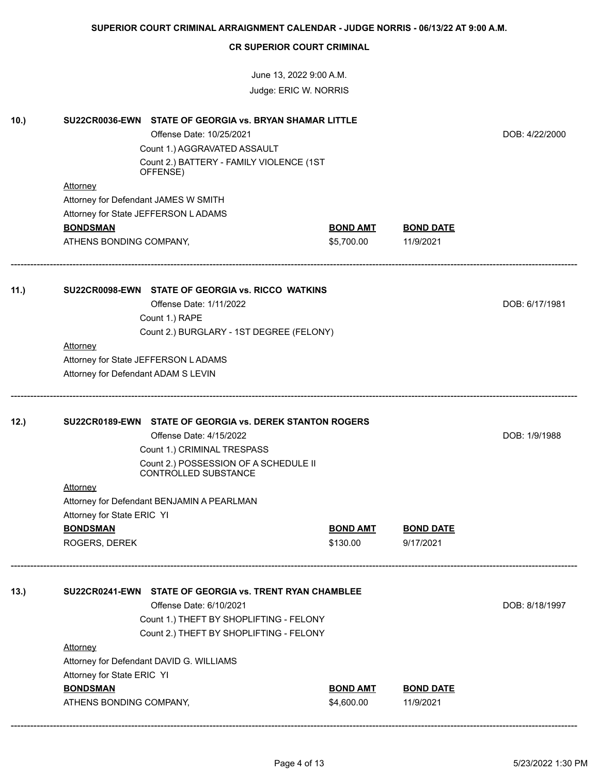|      |                                                                                                     | $10, -0 - 0.001$<br>Judge: ERIC W. NORRIS                                                       |                 |                  |                |
|------|-----------------------------------------------------------------------------------------------------|-------------------------------------------------------------------------------------------------|-----------------|------------------|----------------|
| 10.) | SU22CR0036-EWN STATE OF GEORGIA vs. BRYAN SHAMAR LITTLE                                             |                                                                                                 |                 |                  |                |
|      |                                                                                                     | Offense Date: 10/25/2021                                                                        |                 |                  | DOB: 4/22/2000 |
|      |                                                                                                     | Count 1.) AGGRAVATED ASSAULT                                                                    |                 |                  |                |
|      |                                                                                                     | Count 2.) BATTERY - FAMILY VIOLENCE (1ST                                                        |                 |                  |                |
|      | OFFENSE)<br><b>Attorney</b>                                                                         |                                                                                                 |                 |                  |                |
|      | Attorney for Defendant JAMES W SMITH                                                                |                                                                                                 |                 |                  |                |
|      | Attorney for State JEFFERSON LADAMS                                                                 |                                                                                                 |                 |                  |                |
|      | <b>BONDSMAN</b>                                                                                     |                                                                                                 | <b>BOND AMT</b> | <b>BOND DATE</b> |                |
|      | ATHENS BONDING COMPANY,                                                                             |                                                                                                 | \$5,700.00      | 11/9/2021        |                |
| 11.) | SU22CR0098-EWN STATE OF GEORGIA vs. RICCO WATKINS                                                   |                                                                                                 |                 |                  |                |
|      | Offense Date: 1/11/2022                                                                             |                                                                                                 |                 |                  | DOB: 6/17/1981 |
|      | Count 1.) RAPE                                                                                      |                                                                                                 |                 |                  |                |
|      |                                                                                                     | Count 2.) BURGLARY - 1ST DEGREE (FELONY)                                                        |                 |                  |                |
|      | <b>Attorney</b>                                                                                     |                                                                                                 |                 |                  |                |
|      | Attorney for State JEFFERSON LADAMS                                                                 |                                                                                                 |                 |                  |                |
|      | Attorney for Defendant ADAM S LEVIN                                                                 |                                                                                                 |                 |                  |                |
| 12.) | SU22CR0189-EWN STATE OF GEORGIA vs. DEREK STANTON ROGERS<br>CONTROLLED SUBSTANCE<br><b>Attorney</b> | Offense Date: 4/15/2022<br>Count 1.) CRIMINAL TRESPASS<br>Count 2.) POSSESSION OF A SCHEDULE II |                 |                  | DOB: 1/9/1988  |
|      | Attorney for Defendant BENJAMIN A PEARLMAN                                                          |                                                                                                 |                 |                  |                |
|      | Attorney for State ERIC YI                                                                          |                                                                                                 |                 |                  |                |
|      | <b>BONDSMAN</b>                                                                                     |                                                                                                 | <b>BOND AMT</b> | <b>BOND DATE</b> |                |
|      | ROGERS, DEREK                                                                                       |                                                                                                 | \$130.00        | 9/17/2021        |                |
| 13.) | SU22CR0241-EWN STATE OF GEORGIA vs. TRENT RYAN CHAMBLEE<br>Offense Date: 6/10/2021                  | Count 1.) THEFT BY SHOPLIFTING - FELONY                                                         |                 |                  | DOB: 8/18/1997 |
|      |                                                                                                     | Count 2.) THEFT BY SHOPLIFTING - FELONY                                                         |                 |                  |                |
|      | <b>Attorney</b>                                                                                     |                                                                                                 |                 |                  |                |
|      | Attorney for Defendant DAVID G. WILLIAMS                                                            |                                                                                                 |                 |                  |                |
|      | Attorney for State ERIC YI                                                                          |                                                                                                 |                 |                  |                |
|      | <b>BONDSMAN</b>                                                                                     |                                                                                                 | <b>BOND AMT</b> | <b>BOND DATE</b> |                |
|      | ATHENS BONDING COMPANY,                                                                             |                                                                                                 | \$4,600.00      | 11/9/2021        |                |
|      |                                                                                                     |                                                                                                 |                 |                  |                |

June 13, 2022 9:00 A.M.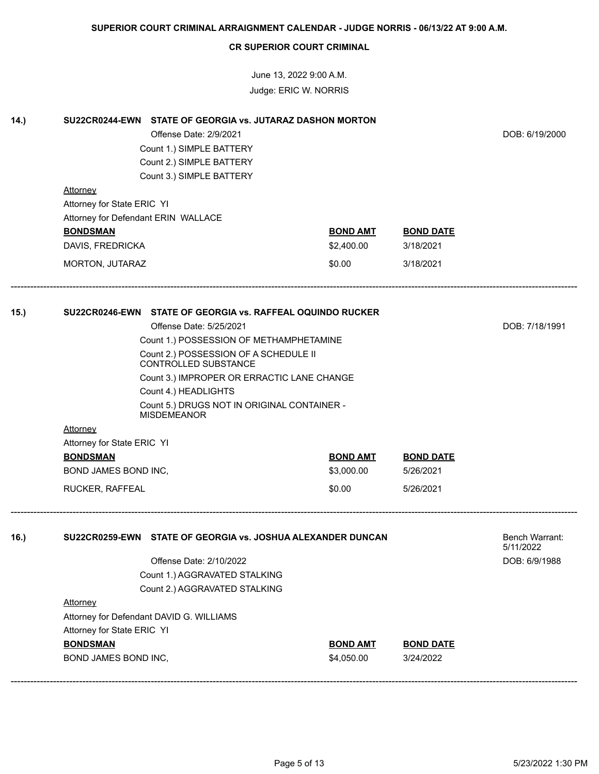June 13, 2022 9:00 A.M. Judge: ERIC W. NORRIS

| 14.) | SU22CR0244-EWN STATE OF GEORGIA vs. JUTARAZ DASHON MORTON         |                 |                  |                             |
|------|-------------------------------------------------------------------|-----------------|------------------|-----------------------------|
|      | Offense Date: 2/9/2021                                            | DOB: 6/19/2000  |                  |                             |
|      | Count 1.) SIMPLE BATTERY                                          |                 |                  |                             |
|      | Count 2.) SIMPLE BATTERY                                          |                 |                  |                             |
|      | Count 3.) SIMPLE BATTERY                                          |                 |                  |                             |
|      | <b>Attorney</b>                                                   |                 |                  |                             |
|      | Attorney for State ERIC YI                                        |                 |                  |                             |
|      | Attorney for Defendant ERIN WALLACE                               |                 |                  |                             |
|      | <b>BONDSMAN</b>                                                   | <b>BOND AMT</b> | <b>BOND DATE</b> |                             |
|      | DAVIS, FREDRICKA                                                  | \$2,400.00      | 3/18/2021        |                             |
|      | MORTON, JUTARAZ                                                   | \$0.00          | 3/18/2021        |                             |
|      |                                                                   |                 |                  |                             |
| 15.) | SU22CR0246-EWN STATE OF GEORGIA vs. RAFFEAL OQUINDO RUCKER        |                 |                  |                             |
|      | Offense Date: 5/25/2021                                           | DOB: 7/18/1991  |                  |                             |
|      | Count 1.) POSSESSION OF METHAMPHETAMINE                           |                 |                  |                             |
|      | Count 2.) POSSESSION OF A SCHEDULE II<br>CONTROLLED SUBSTANCE     |                 |                  |                             |
|      | Count 3.) IMPROPER OR ERRACTIC LANE CHANGE                        |                 |                  |                             |
|      | Count 4.) HEADLIGHTS                                              |                 |                  |                             |
|      | Count 5.) DRUGS NOT IN ORIGINAL CONTAINER -<br><b>MISDEMEANOR</b> |                 |                  |                             |
|      | <b>Attorney</b>                                                   |                 |                  |                             |
|      | Attorney for State ERIC YI                                        |                 |                  |                             |
|      | <b>BONDSMAN</b>                                                   | <b>BOND AMT</b> | <b>BOND DATE</b> |                             |
|      | BOND JAMES BOND INC,                                              | \$3,000.00      | 5/26/2021        |                             |
|      | RUCKER, RAFFEAL                                                   | \$0.00          | 5/26/2021        |                             |
| 16.) | SU22CR0259-EWN STATE OF GEORGIA vs. JOSHUA ALEXANDER DUNCAN       |                 |                  | Bench Warrant:<br>5/11/2022 |
|      | Offense Date: 2/10/2022                                           |                 |                  | DOB: 6/9/1988               |
|      | Count 1.) AGGRAVATED STALKING                                     |                 |                  |                             |
|      | Count 2.) AGGRAVATED STALKING                                     |                 |                  |                             |
|      | Attorney                                                          |                 |                  |                             |
|      | Attorney for Defendant DAVID G. WILLIAMS                          |                 |                  |                             |
|      | Attorney for State ERIC YI                                        |                 |                  |                             |
|      | <b>BONDSMAN</b>                                                   | <b>BOND AMT</b> | <b>BOND DATE</b> |                             |
|      | BOND JAMES BOND INC,                                              | \$4,050.00      | 3/24/2022        |                             |
|      |                                                                   |                 |                  |                             |
|      |                                                                   |                 |                  |                             |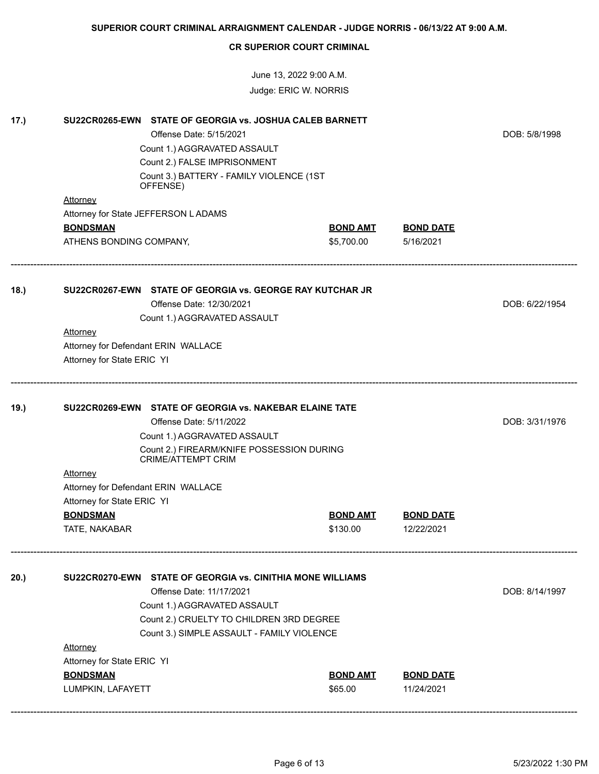|      |                                                           | <b>CR SUPERIOR COURT CRIMINAL</b>                                                      |                 |                  |                |
|------|-----------------------------------------------------------|----------------------------------------------------------------------------------------|-----------------|------------------|----------------|
|      |                                                           | June 13, 2022 9:00 A.M.                                                                |                 |                  |                |
|      |                                                           | Judge: ERIC W. NORRIS                                                                  |                 |                  |                |
|      |                                                           |                                                                                        |                 |                  |                |
| 17.) |                                                           | SU22CR0265-EWN STATE OF GEORGIA vs. JOSHUA CALEB BARNETT                               |                 |                  |                |
|      |                                                           | Offense Date: 5/15/2021                                                                |                 |                  | DOB: 5/8/1998  |
|      |                                                           | Count 1.) AGGRAVATED ASSAULT                                                           |                 |                  |                |
|      |                                                           | Count 2.) FALSE IMPRISONMENT                                                           |                 |                  |                |
|      |                                                           | Count 3.) BATTERY - FAMILY VIOLENCE (1ST<br>OFFENSE)                                   |                 |                  |                |
|      | Attorney                                                  |                                                                                        |                 |                  |                |
|      |                                                           | Attorney for State JEFFERSON LADAMS                                                    |                 |                  |                |
|      | <b>BONDSMAN</b>                                           |                                                                                        | <b>BOND AMT</b> | <b>BOND DATE</b> |                |
|      | ATHENS BONDING COMPANY,                                   |                                                                                        | \$5,700.00      | 5/16/2021        |                |
|      |                                                           |                                                                                        |                 |                  |                |
| 18.) | SU22CR0267-EWN STATE OF GEORGIA vs. GEORGE RAY KUTCHAR JR |                                                                                        |                 |                  |                |
|      |                                                           | Offense Date: 12/30/2021                                                               |                 |                  | DOB: 6/22/1954 |
|      |                                                           | Count 1.) AGGRAVATED ASSAULT                                                           |                 |                  |                |
|      | <b>Attorney</b>                                           |                                                                                        |                 |                  |                |
|      |                                                           | Attorney for Defendant ERIN WALLACE                                                    |                 |                  |                |
|      | Attorney for State ERIC YI                                |                                                                                        |                 |                  |                |
|      |                                                           |                                                                                        |                 |                  |                |
| 19.) |                                                           | SU22CR0269-EWN STATE OF GEORGIA vs. NAKEBAR ELAINE TATE                                |                 |                  |                |
|      |                                                           | Offense Date: 5/11/2022                                                                |                 |                  | DOB: 3/31/1976 |
|      |                                                           | Count 1.) AGGRAVATED ASSAULT                                                           |                 |                  |                |
|      |                                                           | Count 2.) FIREARM/KNIFE POSSESSION DURING                                              |                 |                  |                |
|      |                                                           | <b>CRIME/ATTEMPT CRIM</b>                                                              |                 |                  |                |
|      | <b>Attorney</b>                                           |                                                                                        |                 |                  |                |
|      |                                                           | Attorney for Defendant ERIN WALLACE                                                    |                 |                  |                |
|      | Attorney for State ERIC YI                                |                                                                                        |                 |                  |                |
|      | <b>BONDSMAN</b>                                           |                                                                                        | <b>BOND AMT</b> | <b>BOND DATE</b> |                |
|      | TATE, NAKABAR                                             |                                                                                        | \$130.00        | 12/22/2021       |                |
| 20.) |                                                           | SU22CR0270-EWN STATE OF GEORGIA vs. CINITHIA MONE WILLIAMS                             |                 |                  |                |
|      |                                                           | Offense Date: 11/17/2021                                                               |                 |                  | DOB: 8/14/1997 |
|      |                                                           | Count 1.) AGGRAVATED ASSAULT                                                           |                 |                  |                |
|      |                                                           |                                                                                        |                 |                  |                |
|      |                                                           | Count 2.) CRUELTY TO CHILDREN 3RD DEGREE<br>Count 3.) SIMPLE ASSAULT - FAMILY VIOLENCE |                 |                  |                |
|      | <b>Attorney</b>                                           |                                                                                        |                 |                  |                |
|      | Attorney for State ERIC YI                                |                                                                                        |                 |                  |                |
|      | <b>BONDSMAN</b>                                           |                                                                                        | <b>BOND AMT</b> | <b>BOND DATE</b> |                |
|      | LUMPKIN, LAFAYETT                                         |                                                                                        | \$65.00         | 11/24/2021       |                |
|      |                                                           |                                                                                        |                 |                  |                |
|      |                                                           |                                                                                        |                 |                  |                |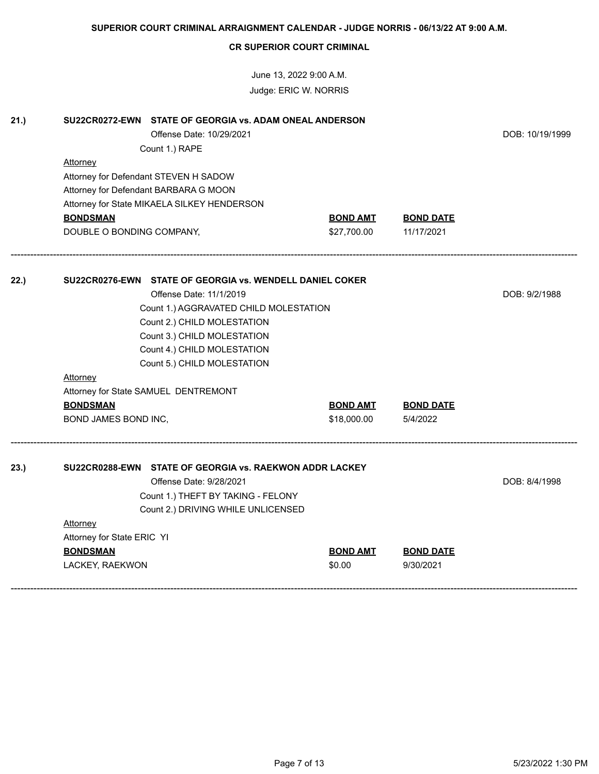|      | <b>CR SUPERIOR COURT CRIMINAL</b>                          |                 |                  |               |  |
|------|------------------------------------------------------------|-----------------|------------------|---------------|--|
|      | June 13, 2022 9:00 A.M.                                    |                 |                  |               |  |
|      |                                                            |                 |                  |               |  |
| 21.) | SU22CR0272-EWN STATE OF GEORGIA vs. ADAM ONEAL ANDERSON    |                 |                  |               |  |
|      | Offense Date: 10/29/2021                                   | DOB: 10/19/1999 |                  |               |  |
|      | Count 1.) RAPE                                             |                 |                  |               |  |
|      | Attorney                                                   |                 |                  |               |  |
|      | Attorney for Defendant STEVEN H SADOW                      |                 |                  |               |  |
|      | Attorney for Defendant BARBARA G MOON                      |                 |                  |               |  |
|      | Attorney for State MIKAELA SILKEY HENDERSON                |                 |                  |               |  |
|      | <b>BONDSMAN</b>                                            | <b>BOND AMT</b> | <b>BOND DATE</b> |               |  |
|      | DOUBLE O BONDING COMPANY,                                  | \$27,700.00     | 11/17/2021       |               |  |
| 22.) | SU22CR0276-EWN STATE OF GEORGIA vs. WENDELL DANIEL COKER   |                 |                  |               |  |
|      | Offense Date: 11/1/2019                                    |                 |                  | DOB: 9/2/1988 |  |
|      | Count 1.) AGGRAVATED CHILD MOLESTATION                     |                 |                  |               |  |
|      |                                                            |                 |                  |               |  |
|      | Count 2.) CHILD MOLESTATION<br>Count 3.) CHILD MOLESTATION |                 |                  |               |  |
|      |                                                            |                 |                  |               |  |
|      | Count 4.) CHILD MOLESTATION                                |                 |                  |               |  |
|      | Count 5.) CHILD MOLESTATION                                |                 |                  |               |  |
|      | <b>Attorney</b>                                            |                 |                  |               |  |
|      | Attorney for State SAMUEL DENTREMONT                       |                 |                  |               |  |
|      | <b>BONDSMAN</b>                                            | <b>BOND AMT</b> | <b>BOND DATE</b> |               |  |
|      | BOND JAMES BOND INC,                                       | \$18,000.00     | 5/4/2022         |               |  |
| 23.) | SU22CR0288-EWN STATE OF GEORGIA vs. RAEKWON ADDR LACKEY    |                 |                  |               |  |
|      | Offense Date: 9/28/2021                                    |                 |                  | DOB: 8/4/1998 |  |
|      | Count 1.) THEFT BY TAKING - FELONY                         |                 |                  |               |  |
|      | Count 2.) DRIVING WHILE UNLICENSED                         |                 |                  |               |  |
|      | <b>Attorney</b>                                            |                 |                  |               |  |
|      | Attorney for State ERIC YI                                 |                 |                  |               |  |
|      | <b>BONDSMAN</b>                                            | <b>BOND AMT</b> | <b>BOND DATE</b> |               |  |
|      | LACKEY, RAEKWON                                            | \$0.00          | 9/30/2021        |               |  |
|      |                                                            |                 |                  |               |  |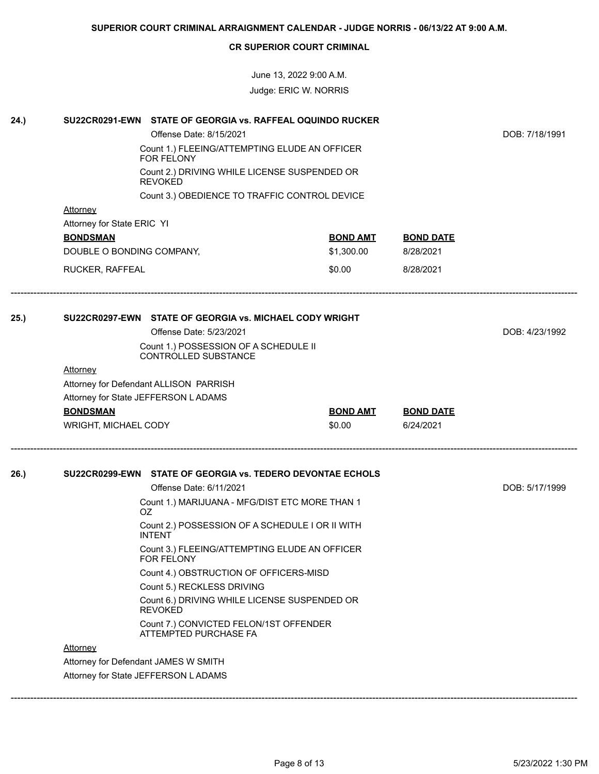June 13, 2022 9:00 A.M. Judge: ERIC W. NORRIS

| 24.) | SU22CR0291-EWN STATE OF GEORGIA vs. RAFFEAL OQUINDO RUCKER                    |                                                                             |                 |                  |                |  |
|------|-------------------------------------------------------------------------------|-----------------------------------------------------------------------------|-----------------|------------------|----------------|--|
|      |                                                                               | Offense Date: 8/15/2021                                                     |                 | DOB: 7/18/1991   |                |  |
|      |                                                                               | Count 1.) FLEEING/ATTEMPTING ELUDE AN OFFICER<br>FOR FELONY                 |                 |                  |                |  |
|      | Count 2.) DRIVING WHILE LICENSE SUSPENDED OR<br><b>REVOKED</b>                |                                                                             |                 |                  |                |  |
|      | Count 3.) OBEDIENCE TO TRAFFIC CONTROL DEVICE                                 |                                                                             |                 |                  |                |  |
|      | <b>Attorney</b>                                                               |                                                                             |                 |                  |                |  |
|      | Attorney for State ERIC YI                                                    |                                                                             |                 |                  |                |  |
|      | <b>BONDSMAN</b>                                                               |                                                                             | <b>BOND AMT</b> | <b>BOND DATE</b> |                |  |
|      | DOUBLE O BONDING COMPANY,                                                     |                                                                             | \$1,300.00      | 8/28/2021        |                |  |
|      | RUCKER, RAFFEAL                                                               |                                                                             | \$0.00          | 8/28/2021        |                |  |
| 25.) |                                                                               | SU22CR0297-EWN STATE OF GEORGIA vs. MICHAEL CODY WRIGHT                     |                 |                  |                |  |
|      |                                                                               | Offense Date: 5/23/2021                                                     |                 |                  | DOB: 4/23/1992 |  |
|      |                                                                               | Count 1.) POSSESSION OF A SCHEDULE II<br><b>CONTROLLED SUBSTANCE</b>        |                 |                  |                |  |
|      | <b>Attorney</b>                                                               |                                                                             |                 |                  |                |  |
|      |                                                                               |                                                                             |                 |                  |                |  |
|      | Attorney for Defendant ALLISON PARRISH<br>Attorney for State JEFFERSON LADAMS |                                                                             |                 |                  |                |  |
|      | <b>BONDSMAN</b>                                                               |                                                                             | <b>BOND AMT</b> | <b>BOND DATE</b> |                |  |
|      | WRIGHT, MICHAEL CODY                                                          |                                                                             | \$0.00          | 6/24/2021        |                |  |
| 26.) |                                                                               | SU22CR0299-EWN STATE OF GEORGIA vs. TEDERO DEVONTAE ECHOLS                  |                 |                  |                |  |
|      |                                                                               | Offense Date: 6/11/2021                                                     |                 |                  | DOB: 5/17/1999 |  |
|      | Count 1.) MARIJUANA - MFG/DIST ETC MORE THAN 1<br>OZ.                         |                                                                             |                 |                  |                |  |
|      | Count 2.) POSSESSION OF A SCHEDULE I OR II WITH                               |                                                                             |                 |                  |                |  |
|      |                                                                               | <b>INTENT</b>                                                               |                 |                  |                |  |
|      |                                                                               | Count 3.) FLEEING/ATTEMPTING ELUDE AN OFFICER<br>FOR FELONY                 |                 |                  |                |  |
|      |                                                                               | Count 4.) OBSTRUCTION OF OFFICERS-MISD                                      |                 |                  |                |  |
|      |                                                                               | Count 5.) RECKLESS DRIVING                                                  |                 |                  |                |  |
|      |                                                                               | Count 6.) DRIVING WHILE LICENSE SUSPENDED OR<br><b>REVOKED</b>              |                 |                  |                |  |
|      |                                                                               | Count 7.) CONVICTED FELON/1ST OFFENDER<br>ATTEMPTED PURCHASE FA             |                 |                  |                |  |
|      | <b>Attorney</b>                                                               |                                                                             |                 |                  |                |  |
|      |                                                                               | Attorney for Defendant JAMES W SMITH<br>Attorney for State JEFFERSON LADAMS |                 |                  |                |  |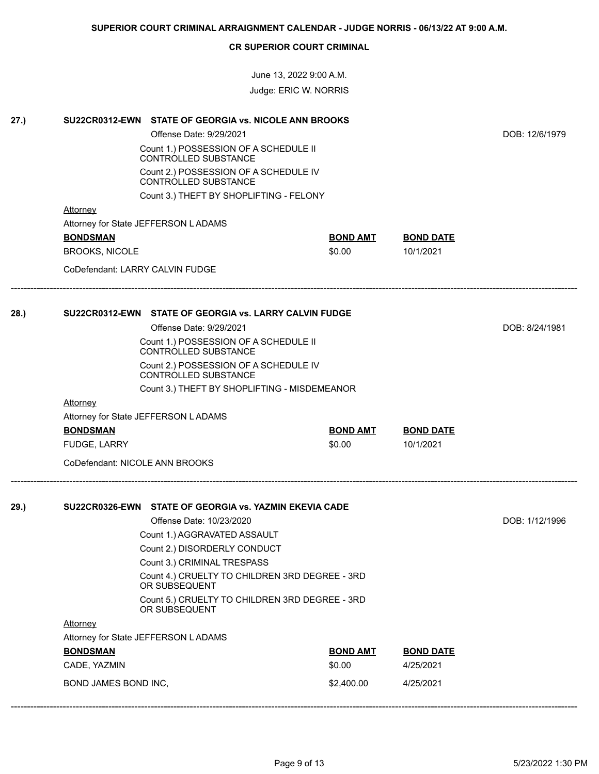June 13, 2022 9:00 A.M. Judge: ERIC W. NORRIS

| DOB: 12/6/1979 |
|----------------|
|                |
|                |
|                |
|                |
|                |
|                |
|                |
|                |
|                |
|                |
| DOB: 8/24/1981 |
|                |
|                |
|                |
|                |
|                |
|                |
|                |
|                |
|                |
|                |
|                |
| DOB: 1/12/1996 |
|                |
|                |
|                |
|                |
|                |
|                |
|                |
|                |
|                |
|                |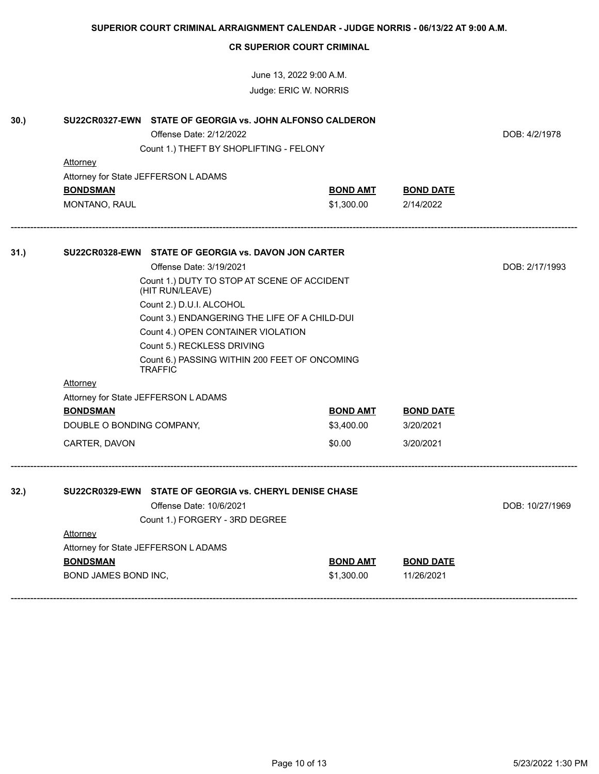| 30.) | SU22CR0327-EWN STATE OF GEORGIA vs. JOHN ALFONSO CALDERON<br>Offense Date: 2/12/2022<br>Count 1.) THEFT BY SHOPLIFTING - FELONY |                 |                  | DOB: 4/2/1978   |
|------|---------------------------------------------------------------------------------------------------------------------------------|-----------------|------------------|-----------------|
|      | Attorney                                                                                                                        |                 |                  |                 |
|      | Attorney for State JEFFERSON LADAMS                                                                                             |                 |                  |                 |
|      | <b>BONDSMAN</b>                                                                                                                 | <b>BOND AMT</b> | <b>BOND DATE</b> |                 |
|      | MONTANO, RAUL                                                                                                                   | \$1,300.00      | 2/14/2022        |                 |
| 31.) | SU22CR0328-EWN STATE OF GEORGIA vs. DAVON JON CARTER                                                                            |                 |                  |                 |
|      | Offense Date: 3/19/2021                                                                                                         |                 |                  | DOB: 2/17/1993  |
|      | Count 1.) DUTY TO STOP AT SCENE OF ACCIDENT<br>(HIT RUN/LEAVE)                                                                  |                 |                  |                 |
|      | Count 2.) D.U.I. ALCOHOL                                                                                                        |                 |                  |                 |
|      | Count 3.) ENDANGERING THE LIFE OF A CHILD-DUI                                                                                   |                 |                  |                 |
|      | Count 4.) OPEN CONTAINER VIOLATION                                                                                              |                 |                  |                 |
|      | Count 5.) RECKLESS DRIVING                                                                                                      |                 |                  |                 |
|      | Count 6.) PASSING WITHIN 200 FEET OF ONCOMING<br><b>TRAFFIC</b>                                                                 |                 |                  |                 |
|      | <b>Attorney</b>                                                                                                                 |                 |                  |                 |
|      | Attorney for State JEFFERSON LADAMS                                                                                             |                 |                  |                 |
|      | <b>BONDSMAN</b>                                                                                                                 | <b>BOND AMT</b> | <b>BOND DATE</b> |                 |
|      | DOUBLE O BONDING COMPANY,                                                                                                       | \$3,400.00      | 3/20/2021        |                 |
|      | CARTER, DAVON                                                                                                                   | \$0.00          | 3/20/2021        |                 |
| 32.) | SU22CR0329-EWN STATE OF GEORGIA vs. CHERYL DENISE CHASE                                                                         |                 |                  |                 |
|      | Offense Date: 10/6/2021                                                                                                         |                 |                  | DOB: 10/27/1969 |
|      | Count 1.) FORGERY - 3RD DEGREE                                                                                                  |                 |                  |                 |
|      | <b>Attorney</b>                                                                                                                 |                 |                  |                 |
|      | Attorney for State JEFFERSON LADAMS                                                                                             |                 |                  |                 |
|      | <b>BONDSMAN</b>                                                                                                                 | <b>BOND AMT</b> | <b>BOND DATE</b> |                 |
|      | BOND JAMES BOND INC,                                                                                                            | \$1,300.00      | 11/26/2021       |                 |

**CR SUPERIOR COURT CRIMINAL**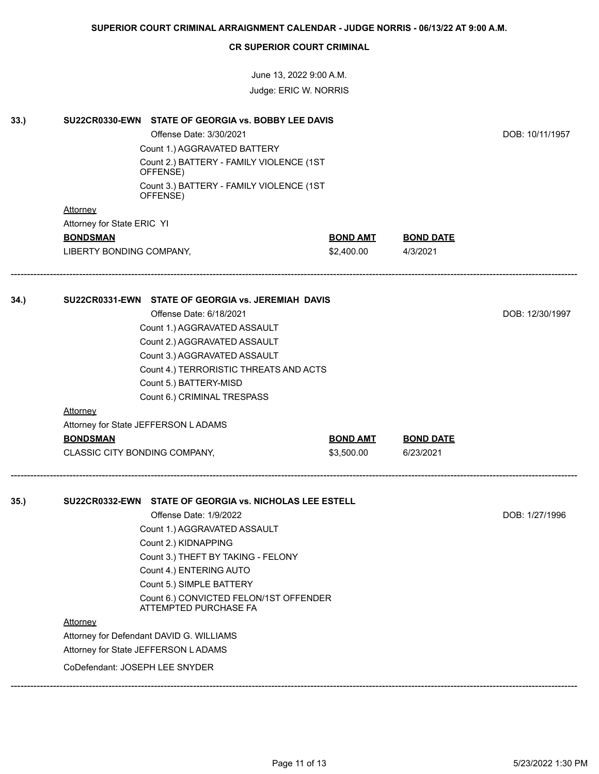June 13, 2022 9:00 A.M. Judge: ERIC W. NORRIS

| 33.) | SU22CR0330-EWN STATE OF GEORGIA vs. BOBBY LEE DAVIS             |                 |                  |                 |
|------|-----------------------------------------------------------------|-----------------|------------------|-----------------|
|      | Offense Date: 3/30/2021                                         |                 | DOB: 10/11/1957  |                 |
|      | Count 1.) AGGRAVATED BATTERY                                    |                 |                  |                 |
|      | Count 2.) BATTERY - FAMILY VIOLENCE (1ST<br>OFFENSE)            |                 |                  |                 |
|      | Count 3.) BATTERY - FAMILY VIOLENCE (1ST<br>OFFENSE)            |                 |                  |                 |
|      | Attorney                                                        |                 |                  |                 |
|      | Attorney for State ERIC YI                                      |                 |                  |                 |
|      | <b>BONDSMAN</b>                                                 | <b>BOND AMT</b> | <b>BOND DATE</b> |                 |
|      | LIBERTY BONDING COMPANY,                                        | \$2,400.00      | 4/3/2021         |                 |
| 34.) | SU22CR0331-EWN STATE OF GEORGIA vs. JEREMIAH DAVIS              |                 |                  |                 |
|      | Offense Date: 6/18/2021                                         |                 |                  | DOB: 12/30/1997 |
|      | Count 1.) AGGRAVATED ASSAULT                                    |                 |                  |                 |
|      | Count 2.) AGGRAVATED ASSAULT                                    |                 |                  |                 |
|      | Count 3.) AGGRAVATED ASSAULT                                    |                 |                  |                 |
|      | Count 4.) TERRORISTIC THREATS AND ACTS                          |                 |                  |                 |
|      | Count 5.) BATTERY-MISD                                          |                 |                  |                 |
|      | Count 6.) CRIMINAL TRESPASS                                     |                 |                  |                 |
|      | <b>Attorney</b>                                                 |                 |                  |                 |
|      | Attorney for State JEFFERSON LADAMS                             |                 |                  |                 |
|      | <b>BONDSMAN</b>                                                 | <b>BOND AMT</b> | <b>BOND DATE</b> |                 |
|      | CLASSIC CITY BONDING COMPANY,                                   | \$3,500.00      | 6/23/2021        |                 |
|      |                                                                 |                 |                  |                 |
| 35.) | SU22CR0332-EWN STATE OF GEORGIA vs. NICHOLAS LEE ESTELL         |                 |                  |                 |
|      | Offense Date: 1/9/2022                                          |                 |                  | DOB: 1/27/1996  |
|      | Count 1.) AGGRAVATED ASSAULT                                    |                 |                  |                 |
|      | Count 2.) KIDNAPPING                                            |                 |                  |                 |
|      | Count 3.) THEFT BY TAKING - FELONY                              |                 |                  |                 |
|      | Count 4.) ENTERING AUTO                                         |                 |                  |                 |
|      | Count 5.) SIMPLE BATTERY                                        |                 |                  |                 |
|      | Count 6.) CONVICTED FELON/1ST OFFENDER<br>ATTEMPTED PURCHASE FA |                 |                  |                 |
|      | Attorney                                                        |                 |                  |                 |
|      | Attorney for Defendant DAVID G. WILLIAMS                        |                 |                  |                 |
|      | Attorney for State JEFFERSON LADAMS                             |                 |                  |                 |
|      | CoDefendant: JOSEPH LEE SNYDER                                  |                 |                  |                 |
|      |                                                                 |                 |                  |                 |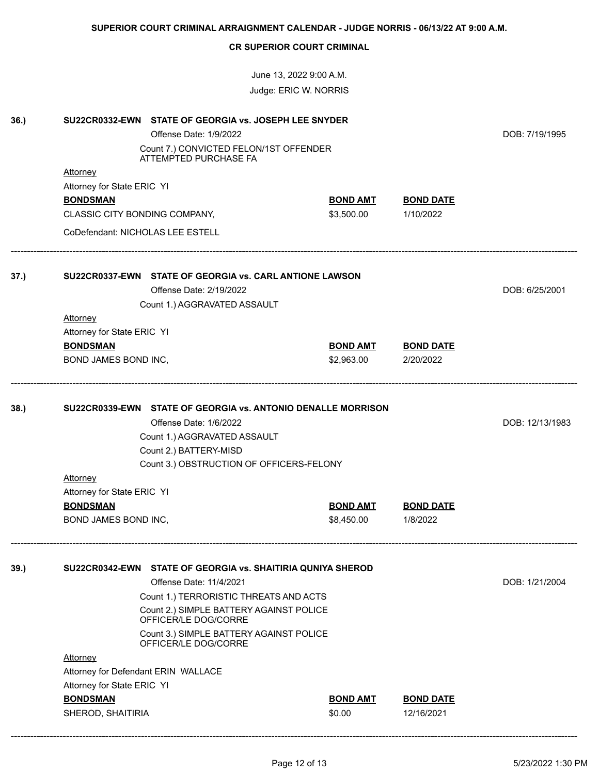|      |                                                              | June 13, 2022 9:00 A.M.                                                           |                 |                  |                 |
|------|--------------------------------------------------------------|-----------------------------------------------------------------------------------|-----------------|------------------|-----------------|
|      |                                                              | Judge: ERIC W. NORRIS                                                             |                 |                  |                 |
| 36.) |                                                              | SU22CR0332-EWN STATE OF GEORGIA vs. JOSEPH LEE SNYDER                             |                 |                  |                 |
|      |                                                              | Offense Date: 1/9/2022                                                            |                 |                  | DOB: 7/19/1995  |
|      |                                                              | Count 7.) CONVICTED FELON/1ST OFFENDER<br>ATTEMPTED PURCHASE FA                   |                 |                  |                 |
|      | <b>Attorney</b>                                              |                                                                                   |                 |                  |                 |
|      | Attorney for State ERIC YI                                   |                                                                                   |                 |                  |                 |
|      | <b>BONDSMAN</b>                                              |                                                                                   | <b>BOND AMT</b> | <b>BOND DATE</b> |                 |
|      | CLASSIC CITY BONDING COMPANY,                                |                                                                                   | \$3,500.00      | 1/10/2022        |                 |
|      | CoDefendant: NICHOLAS LEE ESTELL                             |                                                                                   |                 |                  |                 |
| 37.) |                                                              | SU22CR0337-EWN STATE OF GEORGIA vs. CARL ANTIONE LAWSON                           |                 |                  |                 |
|      |                                                              | Offense Date: 2/19/2022                                                           |                 |                  | DOB: 6/25/2001  |
|      |                                                              | Count 1.) AGGRAVATED ASSAULT                                                      |                 |                  |                 |
|      | <b>Attorney</b>                                              |                                                                                   |                 |                  |                 |
|      | Attorney for State ERIC YI                                   |                                                                                   |                 |                  |                 |
|      | <b>BONDSMAN</b>                                              |                                                                                   | <b>BOND AMT</b> | <b>BOND DATE</b> |                 |
|      | BOND JAMES BOND INC,                                         |                                                                                   | \$2,963.00      | 2/20/2022        |                 |
|      |                                                              |                                                                                   |                 |                  |                 |
| 38.) | SU22CR0339-EWN STATE OF GEORGIA vs. ANTONIO DENALLE MORRISON |                                                                                   |                 |                  |                 |
|      |                                                              | Offense Date: 1/6/2022                                                            |                 |                  | DOB: 12/13/1983 |
|      |                                                              | Count 1.) AGGRAVATED ASSAULT                                                      |                 |                  |                 |
|      |                                                              | Count 2.) BATTERY-MISD                                                            |                 |                  |                 |
|      |                                                              | Count 3.) OBSTRUCTION OF OFFICERS-FELONY                                          |                 |                  |                 |
|      | <b>Attorney</b>                                              |                                                                                   |                 |                  |                 |
|      | Attorney for State ERIC YI                                   |                                                                                   |                 |                  |                 |
|      | <b>BONDSMAN</b>                                              |                                                                                   | <b>BOND AMT</b> | <b>BOND DATE</b> |                 |
|      | BOND JAMES BOND INC,                                         |                                                                                   | \$8,450.00      | 1/8/2022         |                 |
|      |                                                              |                                                                                   |                 |                  |                 |
| 39.) |                                                              | SU22CR0342-EWN STATE OF GEORGIA vs. SHAITIRIA QUNIYA SHEROD                       |                 |                  |                 |
|      |                                                              | Offense Date: 11/4/2021                                                           |                 |                  | DOB: 1/21/2004  |
|      |                                                              | Count 1.) TERRORISTIC THREATS AND ACTS<br>Count 2.) SIMPLE BATTERY AGAINST POLICE |                 |                  |                 |
|      | OFFICER/LE DOG/CORRE                                         |                                                                                   |                 |                  |                 |
|      |                                                              | Count 3.) SIMPLE BATTERY AGAINST POLICE<br>OFFICER/LE DOG/CORRE                   |                 |                  |                 |
|      | <b>Attorney</b>                                              |                                                                                   |                 |                  |                 |
|      | Attorney for Defendant ERIN WALLACE                          |                                                                                   |                 |                  |                 |
|      | Attorney for State ERIC YI                                   |                                                                                   |                 |                  |                 |
|      | <b>BONDSMAN</b>                                              |                                                                                   | <b>BOND AMT</b> | <b>BOND DATE</b> |                 |
|      | SHEROD, SHAITIRIA                                            |                                                                                   | \$0.00          | 12/16/2021       |                 |
|      |                                                              |                                                                                   |                 |                  |                 |

**CR SUPERIOR COURT CRIMINAL**